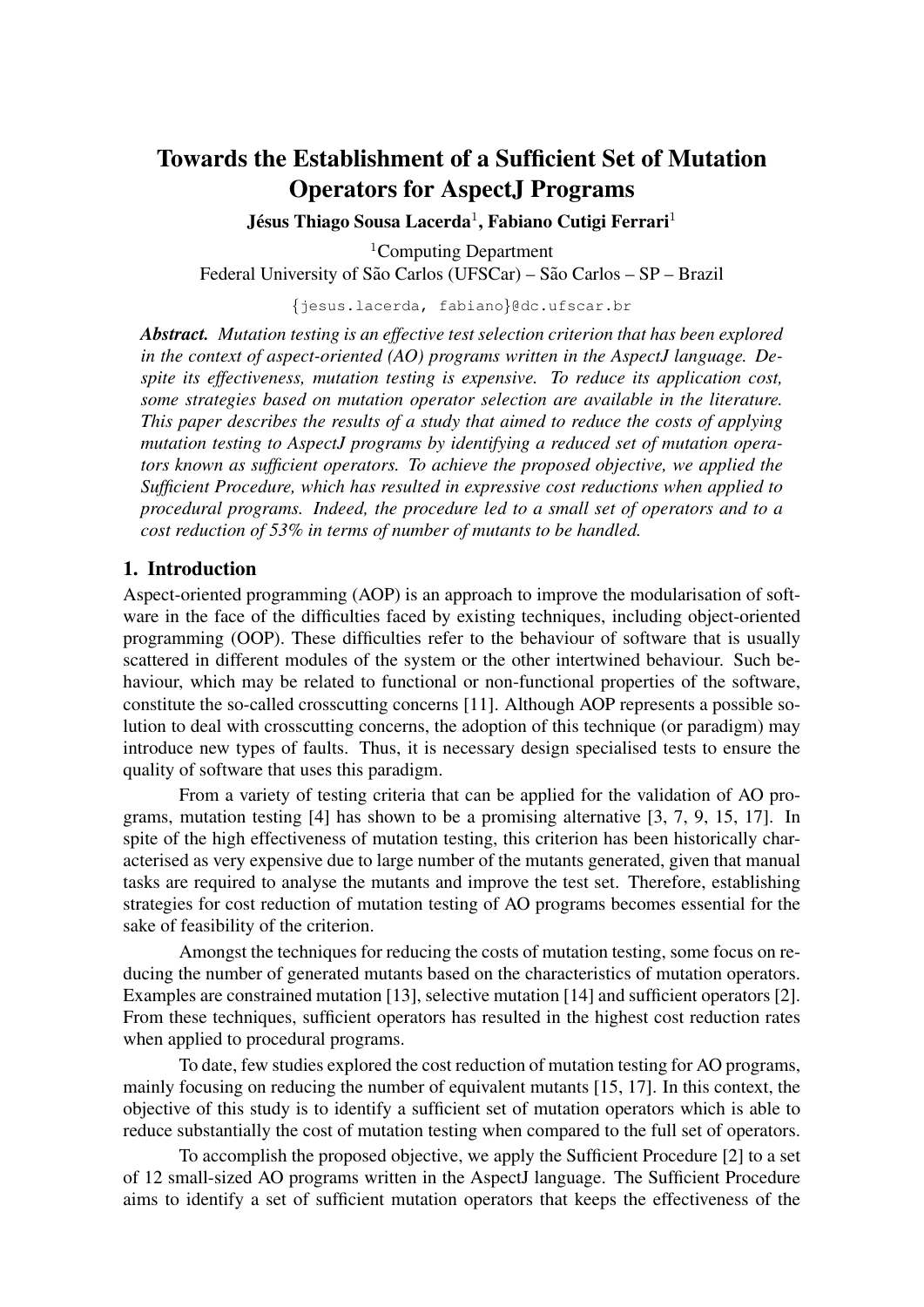# Towards the Establishment of a Sufficient Set of Mutation Operators for AspectJ Programs

Jésus Thiago Sousa Lacerda<sup>1</sup>, Fabiano Cutigi Ferrari<sup>1</sup>

<sup>1</sup>Computing Department Federal University of São Carlos (UFSCar) – São Carlos – SP – Brazil

{jesus.lacerda, fabiano}@dc.ufscar.br

*Abstract. Mutation testing is an effective test selection criterion that has been explored in the context of aspect-oriented (AO) programs written in the AspectJ language. Despite its effectiveness, mutation testing is expensive. To reduce its application cost, some strategies based on mutation operator selection are available in the literature. This paper describes the results of a study that aimed to reduce the costs of applying mutation testing to AspectJ programs by identifying a reduced set of mutation operators known as sufficient operators. To achieve the proposed objective, we applied the Sufficient Procedure, which has resulted in expressive cost reductions when applied to procedural programs. Indeed, the procedure led to a small set of operators and to a cost reduction of 53% in terms of number of mutants to be handled.*

#### 1. Introduction

Aspect-oriented programming (AOP) is an approach to improve the modularisation of software in the face of the difficulties faced by existing techniques, including object-oriented programming (OOP). These difficulties refer to the behaviour of software that is usually scattered in different modules of the system or the other intertwined behaviour. Such behaviour, which may be related to functional or non-functional properties of the software, constitute the so-called crosscutting concerns [11]. Although AOP represents a possible solution to deal with crosscutting concerns, the adoption of this technique (or paradigm) may introduce new types of faults. Thus, it is necessary design specialised tests to ensure the quality of software that uses this paradigm.

From a variety of testing criteria that can be applied for the validation of AO programs, mutation testing [4] has shown to be a promising alternative [3, 7, 9, 15, 17]. In spite of the high effectiveness of mutation testing, this criterion has been historically characterised as very expensive due to large number of the mutants generated, given that manual tasks are required to analyse the mutants and improve the test set. Therefore, establishing strategies for cost reduction of mutation testing of AO programs becomes essential for the sake of feasibility of the criterion.

Amongst the techniques for reducing the costs of mutation testing, some focus on reducing the number of generated mutants based on the characteristics of mutation operators. Examples are constrained mutation [13], selective mutation [14] and sufficient operators [2]. From these techniques, sufficient operators has resulted in the highest cost reduction rates when applied to procedural programs.

To date, few studies explored the cost reduction of mutation testing for AO programs, mainly focusing on reducing the number of equivalent mutants [15, 17]. In this context, the objective of this study is to identify a sufficient set of mutation operators which is able to reduce substantially the cost of mutation testing when compared to the full set of operators.

To accomplish the proposed objective, we apply the Sufficient Procedure [2] to a set of 12 small-sized AO programs written in the AspectJ language. The Sufficient Procedure aims to identify a set of sufficient mutation operators that keeps the effectiveness of the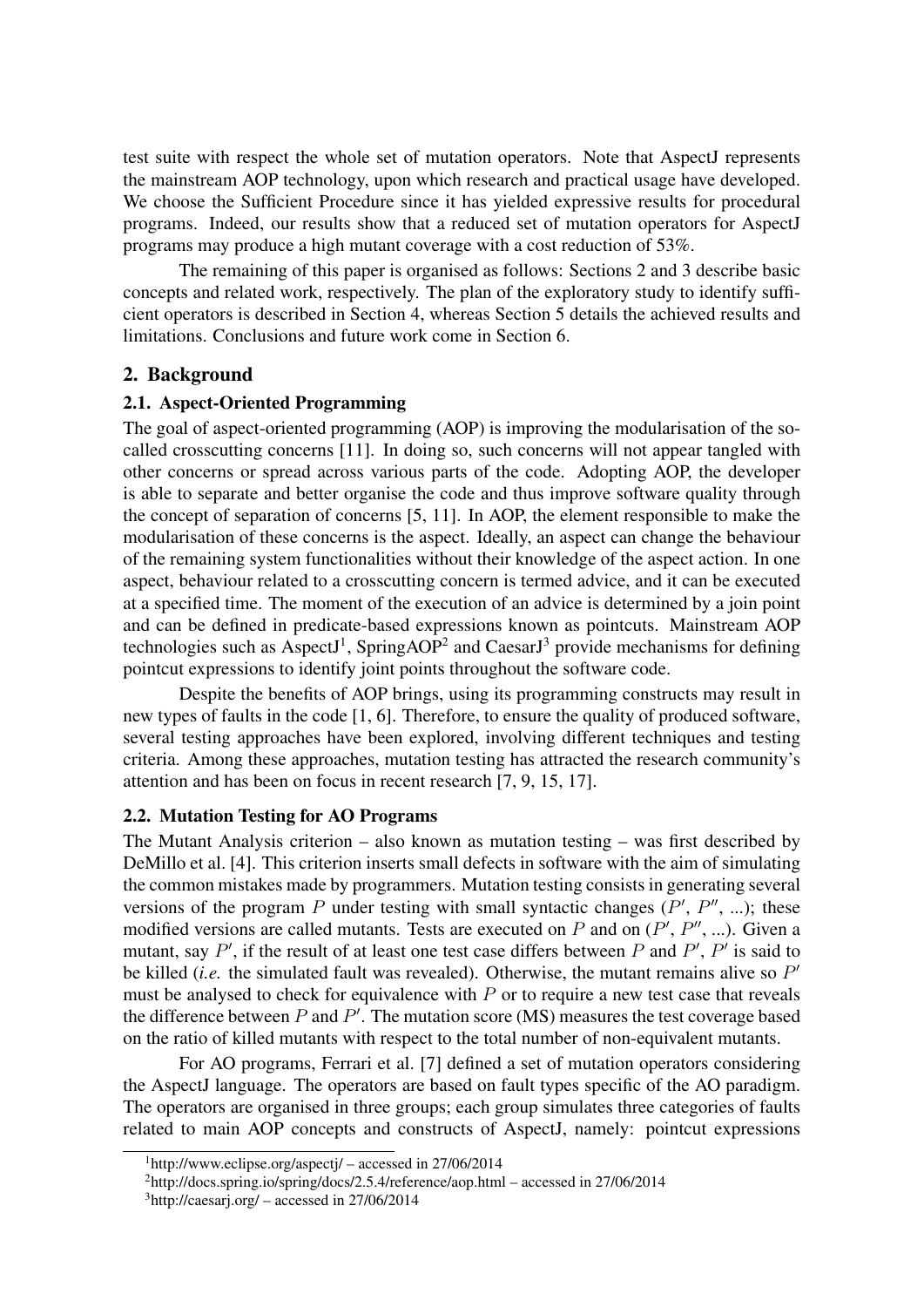test suite with respect the whole set of mutation operators. Note that AspectJ represents the mainstream AOP technology, upon which research and practical usage have developed. We choose the Sufficient Procedure since it has yielded expressive results for procedural programs. Indeed, our results show that a reduced set of mutation operators for AspectJ programs may produce a high mutant coverage with a cost reduction of 53%.

The remaining of this paper is organised as follows: Sections 2 and 3 describe basic concepts and related work, respectively. The plan of the exploratory study to identify sufficient operators is described in Section 4, whereas Section 5 details the achieved results and limitations. Conclusions and future work come in Section 6.

#### 2. Background

#### 2.1. Aspect-Oriented Programming

The goal of aspect-oriented programming (AOP) is improving the modularisation of the socalled crosscutting concerns [11]. In doing so, such concerns will not appear tangled with other concerns or spread across various parts of the code. Adopting AOP, the developer is able to separate and better organise the code and thus improve software quality through the concept of separation of concerns [5, 11]. In AOP, the element responsible to make the modularisation of these concerns is the aspect. Ideally, an aspect can change the behaviour of the remaining system functionalities without their knowledge of the aspect action. In one aspect, behaviour related to a crosscutting concern is termed advice, and it can be executed at a specified time. The moment of the execution of an advice is determined by a join point and can be defined in predicate-based expressions known as pointcuts. Mainstream AOP technologies such as AspectJ<sup>1</sup>, SpringAOP<sup>2</sup> and CaesarJ<sup>3</sup> provide mechanisms for defining pointcut expressions to identify joint points throughout the software code.

Despite the benefits of AOP brings, using its programming constructs may result in new types of faults in the code [1, 6]. Therefore, to ensure the quality of produced software, several testing approaches have been explored, involving different techniques and testing criteria. Among these approaches, mutation testing has attracted the research community's attention and has been on focus in recent research [7, 9, 15, 17].

#### 2.2. Mutation Testing for AO Programs

The Mutant Analysis criterion – also known as mutation testing – was first described by DeMillo et al. [4]. This criterion inserts small defects in software with the aim of simulating the common mistakes made by programmers. Mutation testing consists in generating several versions of the program P under testing with small syntactic changes  $(P', P'', ...);$  these modified versions are called mutants. Tests are executed on P and on  $(P', P'', ...)$ . Given a mutant, say  $P'$ , if the result of at least one test case differs between P and  $P'$ ,  $P'$  is said to be killed *(i.e.* the simulated fault was revealed). Otherwise, the mutant remains alive so  $P'$ must be analysed to check for equivalence with  $P$  or to require a new test case that reveals the difference between  $P$  and  $P'$ . The mutation score (MS) measures the test coverage based on the ratio of killed mutants with respect to the total number of non-equivalent mutants.

For AO programs, Ferrari et al. [7] defined a set of mutation operators considering the AspectJ language. The operators are based on fault types specific of the AO paradigm. The operators are organised in three groups; each group simulates three categories of faults related to main AOP concepts and constructs of AspectJ, namely: pointcut expressions

 $1$ http://www.eclipse.org/aspectj/ – accessed in 27/06/2014

<sup>2</sup>http://docs.spring.io/spring/docs/2.5.4/reference/aop.html – accessed in 27/06/2014

 $3$ http://caesarj.org/ – accessed in 27/06/2014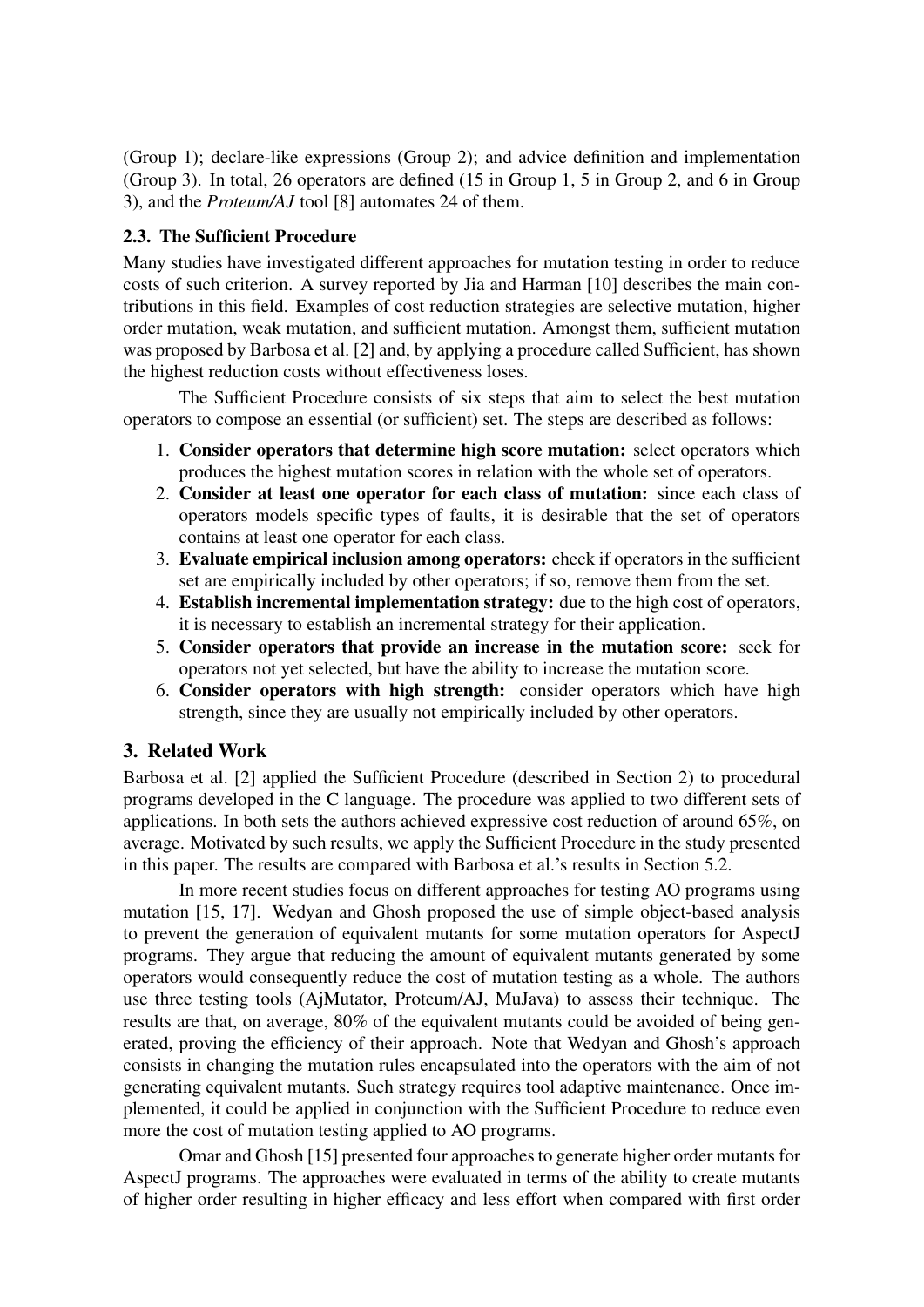(Group 1); declare-like expressions (Group 2); and advice definition and implementation (Group 3). In total, 26 operators are defined (15 in Group 1, 5 in Group 2, and 6 in Group 3), and the *Proteum/AJ* tool [8] automates 24 of them.

### 2.3. The Sufficient Procedure

Many studies have investigated different approaches for mutation testing in order to reduce costs of such criterion. A survey reported by Jia and Harman [10] describes the main contributions in this field. Examples of cost reduction strategies are selective mutation, higher order mutation, weak mutation, and sufficient mutation. Amongst them, sufficient mutation was proposed by Barbosa et al. [2] and, by applying a procedure called Sufficient, has shown the highest reduction costs without effectiveness loses.

The Sufficient Procedure consists of six steps that aim to select the best mutation operators to compose an essential (or sufficient) set. The steps are described as follows:

- 1. Consider operators that determine high score mutation: select operators which produces the highest mutation scores in relation with the whole set of operators.
- 2. Consider at least one operator for each class of mutation: since each class of operators models specific types of faults, it is desirable that the set of operators contains at least one operator for each class.
- 3. Evaluate empirical inclusion among operators: check if operators in the sufficient set are empirically included by other operators; if so, remove them from the set.
- 4. Establish incremental implementation strategy: due to the high cost of operators, it is necessary to establish an incremental strategy for their application.
- 5. Consider operators that provide an increase in the mutation score: seek for operators not yet selected, but have the ability to increase the mutation score.
- 6. Consider operators with high strength: consider operators which have high strength, since they are usually not empirically included by other operators.

## 3. Related Work

Barbosa et al. [2] applied the Sufficient Procedure (described in Section 2) to procedural programs developed in the C language. The procedure was applied to two different sets of applications. In both sets the authors achieved expressive cost reduction of around 65%, on average. Motivated by such results, we apply the Sufficient Procedure in the study presented in this paper. The results are compared with Barbosa et al.'s results in Section 5.2.

In more recent studies focus on different approaches for testing AO programs using mutation [15, 17]. Wedyan and Ghosh proposed the use of simple object-based analysis to prevent the generation of equivalent mutants for some mutation operators for AspectJ programs. They argue that reducing the amount of equivalent mutants generated by some operators would consequently reduce the cost of mutation testing as a whole. The authors use three testing tools (AjMutator, Proteum/AJ, MuJava) to assess their technique. The results are that, on average, 80% of the equivalent mutants could be avoided of being generated, proving the efficiency of their approach. Note that Wedyan and Ghosh's approach consists in changing the mutation rules encapsulated into the operators with the aim of not generating equivalent mutants. Such strategy requires tool adaptive maintenance. Once implemented, it could be applied in conjunction with the Sufficient Procedure to reduce even more the cost of mutation testing applied to AO programs.

Omar and Ghosh [15] presented four approaches to generate higher order mutants for AspectJ programs. The approaches were evaluated in terms of the ability to create mutants of higher order resulting in higher efficacy and less effort when compared with first order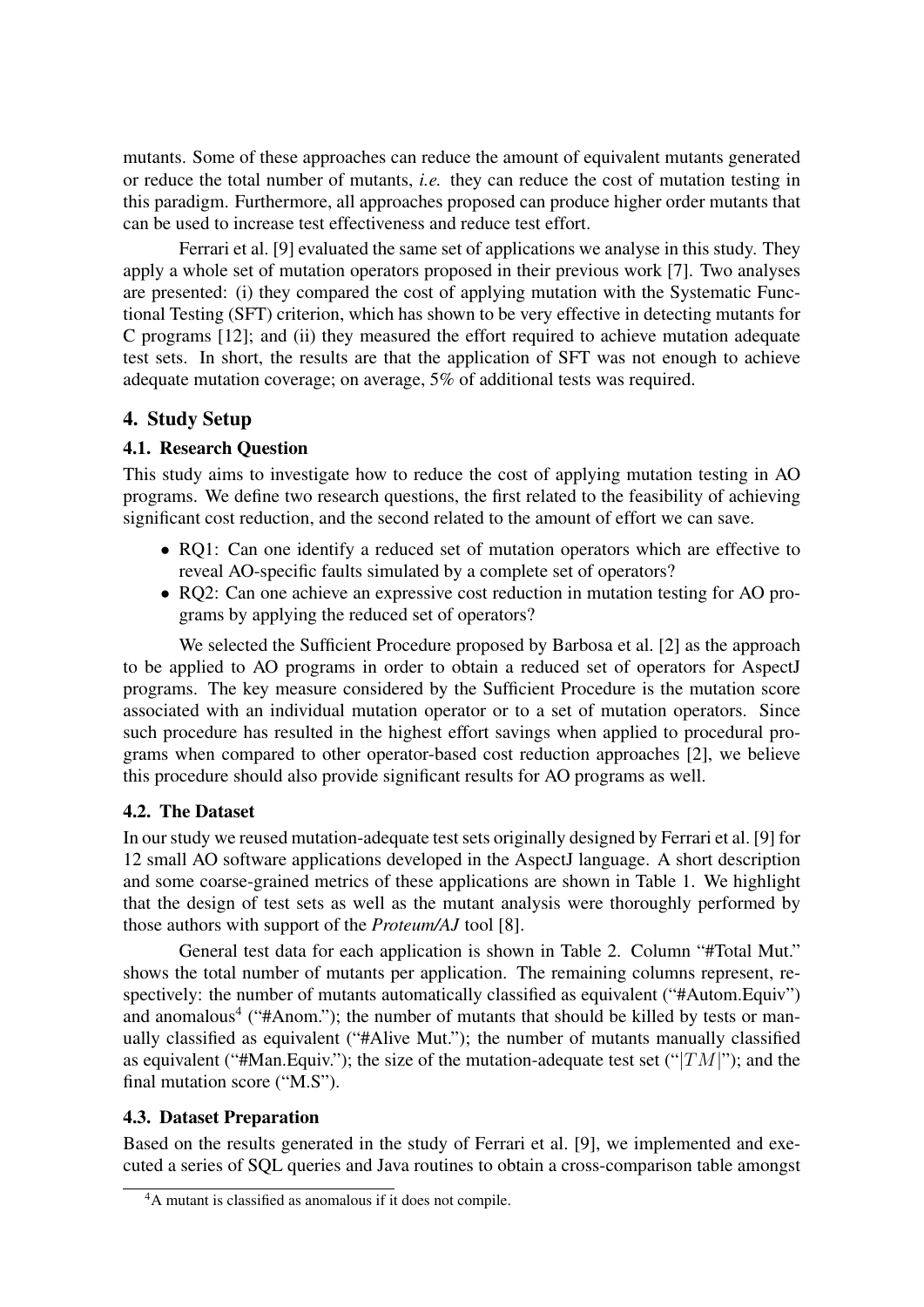mutants. Some of these approaches can reduce the amount of equivalent mutants generated or reduce the total number of mutants, *i.e.* they can reduce the cost of mutation testing in this paradigm. Furthermore, all approaches proposed can produce higher order mutants that can be used to increase test effectiveness and reduce test effort.

Ferrari et al. [9] evaluated the same set of applications we analyse in this study. They apply a whole set of mutation operators proposed in their previous work [7]. Two analyses are presented: (i) they compared the cost of applying mutation with the Systematic Functional Testing (SFT) criterion, which has shown to be very effective in detecting mutants for C programs [12]; and (ii) they measured the effort required to achieve mutation adequate test sets. In short, the results are that the application of SFT was not enough to achieve adequate mutation coverage; on average, 5% of additional tests was required.

## 4. Study Setup

## 4.1. Research Question

This study aims to investigate how to reduce the cost of applying mutation testing in AO programs. We define two research questions, the first related to the feasibility of achieving significant cost reduction, and the second related to the amount of effort we can save.

- RQ1: Can one identify a reduced set of mutation operators which are effective to reveal AO-specific faults simulated by a complete set of operators?
- RQ2: Can one achieve an expressive cost reduction in mutation testing for AO programs by applying the reduced set of operators?

We selected the Sufficient Procedure proposed by Barbosa et al. [2] as the approach to be applied to AO programs in order to obtain a reduced set of operators for AspectJ programs. The key measure considered by the Sufficient Procedure is the mutation score associated with an individual mutation operator or to a set of mutation operators. Since such procedure has resulted in the highest effort savings when applied to procedural programs when compared to other operator-based cost reduction approaches [2], we believe this procedure should also provide significant results for AO programs as well.

## 4.2. The Dataset

In our study we reused mutation-adequate test sets originally designed by Ferrari et al. [9] for 12 small AO software applications developed in the AspectJ language. A short description and some coarse-grained metrics of these applications are shown in Table 1. We highlight that the design of test sets as well as the mutant analysis were thoroughly performed by those authors with support of the *Proteum/AJ* tool [8].

General test data for each application is shown in Table 2. Column "#Total Mut." shows the total number of mutants per application. The remaining columns represent, respectively: the number of mutants automatically classified as equivalent ("#Autom.Equiv") and anomalous<sup>4</sup> ("#Anom."); the number of mutants that should be killed by tests or manually classified as equivalent ("#Alive Mut."); the number of mutants manually classified as equivalent ("#Man.Equiv."); the size of the mutation-adequate test set (" $TM$ "); and the final mutation score ("M.S").

## 4.3. Dataset Preparation

Based on the results generated in the study of Ferrari et al. [9], we implemented and executed a series of SQL queries and Java routines to obtain a cross-comparison table amongst

<sup>4</sup>A mutant is classified as anomalous if it does not compile.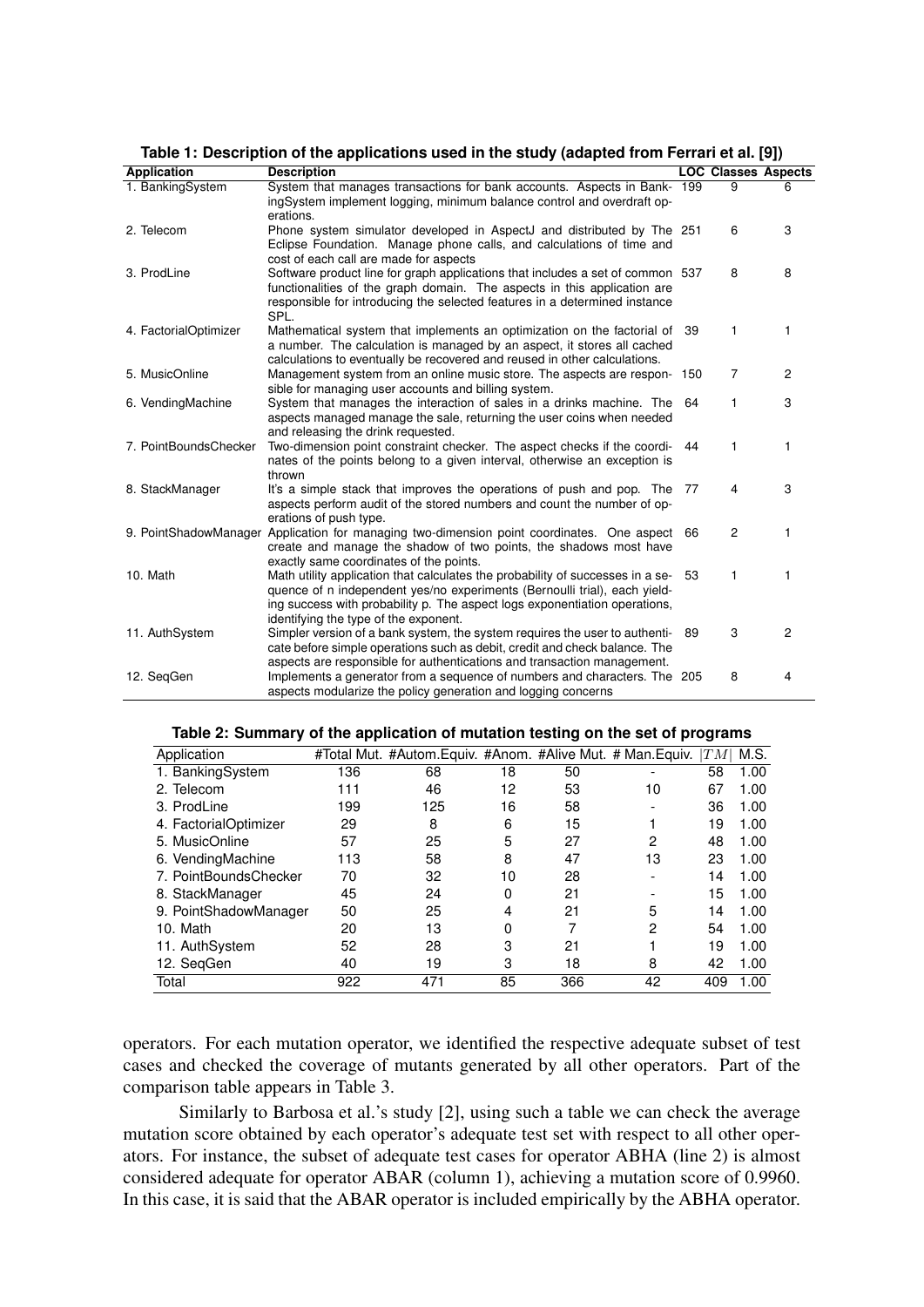| <b>Application</b>    | <b>Description</b>                                                                |      | <b>LOC Classes Aspects</b> |                |
|-----------------------|-----------------------------------------------------------------------------------|------|----------------------------|----------------|
| 1. BankingSystem      | System that manages transactions for bank accounts. Aspects in Bank- 199          |      | $\overline{9}$             | 6              |
|                       | ingSystem implement logging, minimum balance control and overdraft op-            |      |                            |                |
|                       | erations.                                                                         |      |                            |                |
| 2. Telecom            | Phone system simulator developed in AspectJ and distributed by The 251            |      | 6                          | 3              |
|                       | Eclipse Foundation. Manage phone calls, and calculations of time and              |      |                            |                |
|                       | cost of each call are made for aspects                                            |      |                            |                |
| 3. ProdLine           | Software product line for graph applications that includes a set of common 537    |      | 8                          | 8              |
|                       | functionalities of the graph domain. The aspects in this application are          |      |                            |                |
|                       | responsible for introducing the selected features in a determined instance        |      |                            |                |
|                       | SPL.                                                                              |      |                            |                |
| 4. FactorialOptimizer | Mathematical system that implements an optimization on the factorial of 39        |      | 1                          | 1              |
|                       | a number. The calculation is managed by an aspect, it stores all cached           |      |                            |                |
|                       | calculations to eventually be recovered and reused in other calculations.         |      |                            |                |
| 5. MusicOnline        | Management system from an online music store. The aspects are respon- 150         |      | 7                          | 2              |
|                       | sible for managing user accounts and billing system.                              |      |                            |                |
| 6. VendingMachine     | System that manages the interaction of sales in a drinks machine. The 64          |      | 1                          | 3              |
|                       | aspects managed manage the sale, returning the user coins when needed             |      |                            |                |
|                       | and releasing the drink requested.                                                |      |                            |                |
| 7. PointBoundsChecker | Two-dimension point constraint checker. The aspect checks if the coordi-44        |      | 1                          | 1              |
|                       | nates of the points belong to a given interval, otherwise an exception is         |      |                            |                |
|                       | thrown                                                                            |      |                            |                |
| 8. StackManager       | It's a simple stack that improves the operations of push and pop. The 77          |      | 4                          | 3              |
|                       | aspects perform audit of the stored numbers and count the number of op-           |      |                            |                |
|                       | erations of push type.                                                            |      |                            |                |
| 9. PointShadowManager | Application for managing two-dimension point coordinates. One aspect 66           |      | $\overline{2}$             | 1              |
|                       | create and manage the shadow of two points, the shadows most have                 |      |                            |                |
|                       | exactly same coordinates of the points.                                           |      |                            |                |
| 10. Math              | Math utility application that calculates the probability of successes in a se- 53 |      | 1                          | 1              |
|                       | quence of n independent yes/no experiments (Bernoulli trial), each yield-         |      |                            |                |
|                       | ing success with probability p. The aspect logs exponentiation operations,        |      |                            |                |
|                       | identifying the type of the exponent.                                             |      |                            |                |
| 11. AuthSystem        | Simpler version of a bank system, the system requires the user to authenti-       | - 89 | 3                          | $\overline{2}$ |
|                       | cate before simple operations such as debit, credit and check balance. The        |      |                            |                |
|                       | aspects are responsible for authentications and transaction management.           |      |                            |                |
| 12. SegGen            | Implements a generator from a sequence of numbers and characters. The 205         |      | 8                          | 4              |
|                       | aspects modularize the policy generation and logging concerns                     |      |                            |                |

**Table 1: Description of the applications used in the study (adapted from Ferrari et al. [9])**

| Table 2: Summary of the application of mutation testing on the set of programs |  |  |  |
|--------------------------------------------------------------------------------|--|--|--|
|                                                                                |  |  |  |

| Application           |     | #Total Mut. #Autom.Equiv. #Anom. #Alive Mut. # Man.Equiv. |    |     |              | $\left  TM\right $ | M.S. |
|-----------------------|-----|-----------------------------------------------------------|----|-----|--------------|--------------------|------|
| 1. BankingSystem      | 136 | 68                                                        | 18 | 50  |              | 58                 | 1.00 |
| 2. Telecom            | 111 | 46                                                        | 12 | 53  | 10           | 67                 | 1.00 |
| 3. ProdLine           | 199 | 125                                                       | 16 | 58  |              | 36                 | 1.00 |
| 4. FactorialOptimizer | 29  | 8                                                         | 6  | 15  |              | 19                 | 1.00 |
| 5. MusicOnline        | 57  | 25                                                        | 5  | 27  | 2            | 48                 | 1.00 |
| 6. VendingMachine     | 113 | 58                                                        | 8  | 47  | 13           | 23                 | 1.00 |
| 7. PointBoundsChecker | 70  | 32                                                        | 10 | 28  |              | 14                 | 1.00 |
| 8. StackManager       | 45  | 24                                                        | 0  | 21  |              | 15                 | 1.00 |
| 9. PointShadowManager | 50  | 25                                                        | 4  | 21  | 5            | 14                 | 1.00 |
| 10. Math              | 20  | 13                                                        | 0  | 7   | $\mathbf{2}$ | 54                 | 1.00 |
| 11. AuthSystem        | 52  | 28                                                        | 3  | 21  |              | 19                 | 1.00 |
| 12. SeqGen            | 40  | 19                                                        | 3  | 18  | 8            | 42                 | 1.00 |
| Total                 | 922 | 471                                                       | 85 | 366 | 42           | 409                | 1.00 |

operators. For each mutation operator, we identified the respective adequate subset of test cases and checked the coverage of mutants generated by all other operators. Part of the comparison table appears in Table 3.

Similarly to Barbosa et al.'s study [2], using such a table we can check the average mutation score obtained by each operator's adequate test set with respect to all other operators. For instance, the subset of adequate test cases for operator ABHA (line 2) is almost considered adequate for operator ABAR (column 1), achieving a mutation score of 0.9960. In this case, it is said that the ABAR operator is included empirically by the ABHA operator.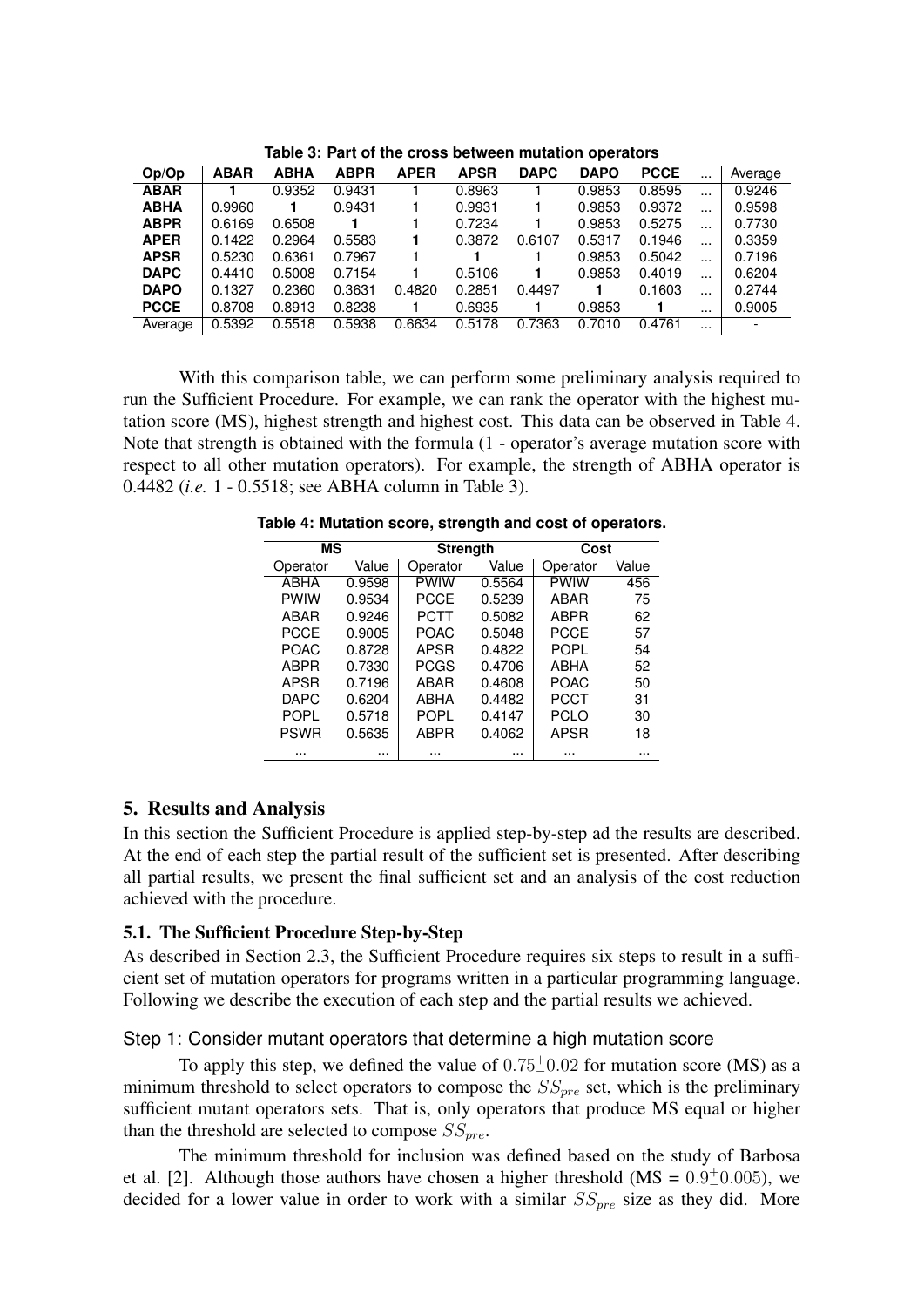| Op/Op       | <b>ABAR</b> | <b>ABHA</b> | <b>ABPR</b> | <b>APER</b> | <b>APSR</b> | <b>DAPC</b> | <b>DAPO</b> | <b>PCCE</b> | $\cdots$ | Average |
|-------------|-------------|-------------|-------------|-------------|-------------|-------------|-------------|-------------|----------|---------|
| <b>ABAR</b> |             | 0.9352      | 0.9431      |             | 0.8963      |             | 0.9853      | 0.8595      | $\cdots$ | 0.9246  |
| <b>ABHA</b> | 0.9960      |             | 0.9431      |             | 0.9931      |             | 0.9853      | 0.9372      |          | 0.9598  |
| <b>ABPR</b> | 0.6169      | 0.6508      |             |             | 0.7234      |             | 0.9853      | 0.5275      | $\cdots$ | 0.7730  |
| <b>APER</b> | 0.1422      | 0.2964      | 0.5583      |             | 0.3872      | 0.6107      | 0.5317      | 0.1946      |          | 0.3359  |
| <b>APSR</b> | 0.5230      | 0.6361      | 0.7967      |             |             |             | 0.9853      | 0.5042      | $\cdots$ | 0.7196  |
| <b>DAPC</b> | 0.4410      | 0.5008      | 0.7154      |             | 0.5106      |             | 0.9853      | 0.4019      |          | 0.6204  |
| <b>DAPO</b> | 0.1327      | 0.2360      | 0.3631      | 0.4820      | 0.2851      | 0.4497      |             | 0.1603      | $\cdots$ | 0.2744  |
| <b>PCCE</b> | 0.8708      | 0.8913      | 0.8238      |             | 0.6935      |             | 0.9853      |             | $\cdots$ | 0.9005  |
| Average     | 0.5392      | 0.5518      | 0.5938      | 0.6634      | 0.5178      | 0.7363      | 0.7010      | 0.4761      | $\cdots$ |         |

**Table 3: Part of the cross between mutation operators**

With this comparison table, we can perform some preliminary analysis required to run the Sufficient Procedure. For example, we can rank the operator with the highest mutation score (MS), highest strength and highest cost. This data can be observed in Table 4. Note that strength is obtained with the formula (1 - operator's average mutation score with respect to all other mutation operators). For example, the strength of ABHA operator is 0.4482 (*i.e.* 1 - 0.5518; see ABHA column in Table 3).

| ΜS<br><b>Strength</b> |        |             | Cost   |             |       |
|-----------------------|--------|-------------|--------|-------------|-------|
| Operator              | Value  | Operator    | Value  | Operator    | Value |
| <b>ABHA</b>           | 0.9598 | <b>PWIW</b> | 0.5564 | <b>PWIW</b> | 456   |
| <b>PWIW</b>           | 0.9534 | PCCE        | 0.5239 | ABAR        | 75    |
| ABAR                  | 0.9246 | PCTT        | 0.5082 | ABPR        | 62    |
| <b>PCCE</b>           | 0.9005 | <b>POAC</b> | 0.5048 | PCCE        | 57    |
| <b>POAC</b>           | 0.8728 | APSR        | 0.4822 | <b>POPI</b> | 54    |
| <b>ABPR</b>           | 0.7330 | <b>PCGS</b> | 0.4706 | ABHA        | 52    |
| <b>APSR</b>           | 0.7196 | ABAR        | 0.4608 | <b>POAC</b> | 50    |
| <b>DAPC</b>           | 0.6204 | <b>ABHA</b> | 0.4482 | PCCT        | 31    |
| <b>POPL</b>           | 0.5718 | <b>POPL</b> | 0.4147 | <b>PCLO</b> | 30    |
| <b>PSWR</b>           | 0.5635 | <b>ABPR</b> | 0.4062 | <b>APSR</b> | 18    |
|                       |        |             |        |             |       |

**Table 4: Mutation score, strength and cost of operators.**

## 5. Results and Analysis

In this section the Sufficient Procedure is applied step-by-step ad the results are described. At the end of each step the partial result of the sufficient set is presented. After describing all partial results, we present the final sufficient set and an analysis of the cost reduction achieved with the procedure.

#### 5.1. The Sufficient Procedure Step-by-Step

As described in Section 2.3, the Sufficient Procedure requires six steps to result in a sufficient set of mutation operators for programs written in a particular programming language. Following we describe the execution of each step and the partial results we achieved.

#### Step 1: Consider mutant operators that determine a high mutation score

To apply this step, we defined the value of  $0.75 \text{+} 0.02$  for mutation score (MS) as a minimum threshold to select operators to compose the  $SS_{pre}$  set, which is the preliminary sufficient mutant operators sets. That is, only operators that produce MS equal or higher than the threshold are selected to compose  $SS_{pre}$ .

The minimum threshold for inclusion was defined based on the study of Barbosa et al. [2]. Although those authors have chosen a higher threshold ( $MS = 0.9\pm 0.005$ ), we decided for a lower value in order to work with a similar  $SS_{pre}$  size as they did. More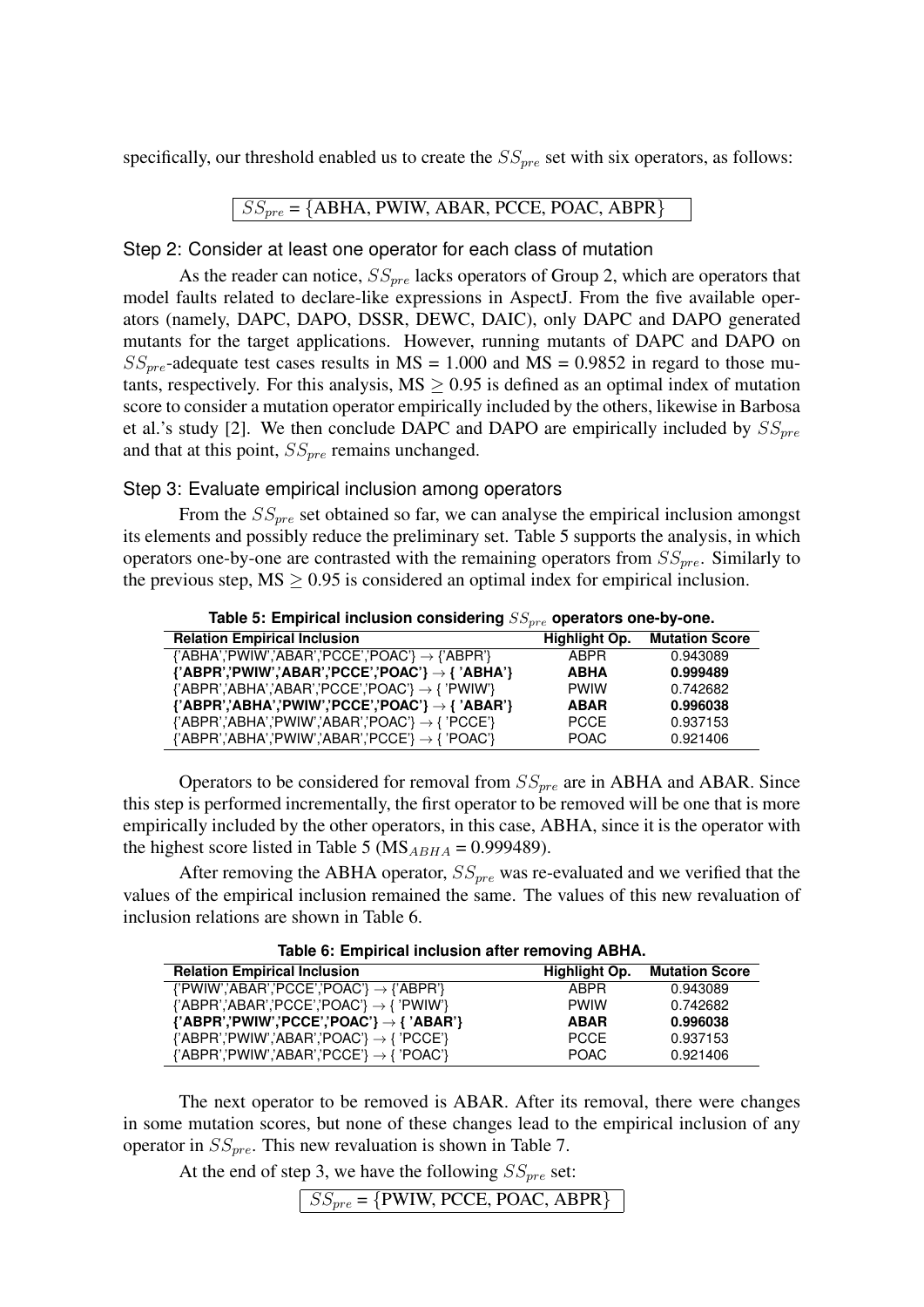specifically, our threshold enabled us to create the  $SS_{pre}$  set with six operators, as follows:

#### $\vert SS_{pre}$  = {ABHA, PWIW, ABAR, PCCE, POAC, ABPR}

Step 2: Consider at least one operator for each class of mutation

As the reader can notice,  $SS_{pre}$  lacks operators of Group 2, which are operators that model faults related to declare-like expressions in AspectJ. From the five available operators (namely, DAPC, DAPO, DSSR, DEWC, DAIC), only DAPC and DAPO generated mutants for the target applications. However, running mutants of DAPC and DAPO on  $SS_{pre}$ -adequate test cases results in MS = 1.000 and MS = 0.9852 in regard to those mutants, respectively. For this analysis,  $MS \geq 0.95$  is defined as an optimal index of mutation score to consider a mutation operator empirically included by the others, likewise in Barbosa et al.'s study [2]. We then conclude DAPC and DAPO are empirically included by  $SS_{pre}$ and that at this point,  $SS_{pre}$  remains unchanged.

Step 3: Evaluate empirical inclusion among operators

From the  $SS_{pre}$  set obtained so far, we can analyse the empirical inclusion amongst its elements and possibly reduce the preliminary set. Table 5 supports the analysis, in which operators one-by-one are contrasted with the remaining operators from  $SS_{pre}$ . Similarly to the previous step,  $MS \geq 0.95$  is considered an optimal index for empirical inclusion.

| <b>Relation Empirical Inclusion</b>                                        | Highlight Op. | <b>Mutation Score</b> |
|----------------------------------------------------------------------------|---------------|-----------------------|
| $\{A B H A \}'$ PWIW','ABAR','PCCE','POAC'} $\rightarrow$ {'ABPR'}         | <b>ABPR</b>   | 0.943089              |
| {'ABPR','PWIW','ABAR','PCCE','POAC'} $\rightarrow$ { 'ABHA'}               | <b>ABHA</b>   | 0.999489              |
| ${PAC'}$ / $\rightarrow {PWW'}$                                            | <b>PWIW</b>   | 0.742682              |
| {'ABPR','ABHA','PWIW','PCCE','POAC'} $\rightarrow$ { 'ABAR'}               | <b>ABAR</b>   | 0.996038              |
| $\{A\text{BPR}\}\$ ABHA','PWIW','ABAR','POAC'} $\rightarrow \{A\}$ 'PCCE'} | <b>PCCE</b>   | 0.937153              |
| $\{$ 'ABPR','ABHA','PWIW','ABAR','PCCE'} $\rightarrow$ { 'POAC'}           | <b>POAC</b>   | 0.921406              |

Table 5: Empirical inclusion considering  $SS_{pre}$  operators one-by-one.

Operators to be considered for removal from  $SS_{pre}$  are in ABHA and ABAR. Since this step is performed incrementally, the first operator to be removed will be one that is more empirically included by the other operators, in this case, ABHA, since it is the operator with the highest score listed in Table 5 ( $MS_{ABHA} = 0.999489$ ).

After removing the ABHA operator,  $SS_{pre}$  was re-evaluated and we verified that the values of the empirical inclusion remained the same. The values of this new revaluation of inclusion relations are shown in Table 6.

| <b>ROLL OF EMPHALMED MORE OF A CHILD AND ITAL</b>                                                                                    |               |                       |  |  |  |  |  |
|--------------------------------------------------------------------------------------------------------------------------------------|---------------|-----------------------|--|--|--|--|--|
| <b>Relation Empirical Inclusion</b>                                                                                                  | Highlight Op. | <b>Mutation Score</b> |  |  |  |  |  |
| $\{$ 'PWIW','ABAR','PCCE','POAC'} $\rightarrow$ {'ABPR'}                                                                             | <b>ABPR</b>   | 0.943089              |  |  |  |  |  |
| ${POR$ $\rightarrow$ ${POR'}$ $\land$ $ABAR$ $\land$ $PCCE$ $\land$ $POAC$ $\rightarrow$ ${PW}$ $\lor$ $\land$                       | <b>PWIW</b>   | 0.742682              |  |  |  |  |  |
| ${PAC'}$ / $\rightarrow {PAC'}$ / $\rightarrow {PAC'}$                                                                               | <b>ABAR</b>   | 0.996038              |  |  |  |  |  |
| ${POR$ $\rightarrow$ ${PQ}$ $\rightarrow$ ${PQ}$ $\rightarrow$ ${PQ}$ $\rightarrow$ ${PQ}$ $\rightarrow$ ${PQ}$ $\rightarrow$ ${PQ}$ | <b>PCCE</b>   | 0.937153              |  |  |  |  |  |
| $\{ABPR'\}$ PWIW','ABAR','PCCE'} $\rightarrow \{POAC\}$                                                                              | POAC.         | 0.921406              |  |  |  |  |  |

**Table 6: Empirical inclusion after removing ABHA.**

The next operator to be removed is ABAR. After its removal, there were changes in some mutation scores, but none of these changes lead to the empirical inclusion of any operator in  $SS_{pre}$ . This new revaluation is shown in Table 7.

At the end of step 3, we have the following  $SS_{pre}$  set:

 $\sqrt{SS_{pre}} = \{PWIW, PCCE, POAC, ABPR\}$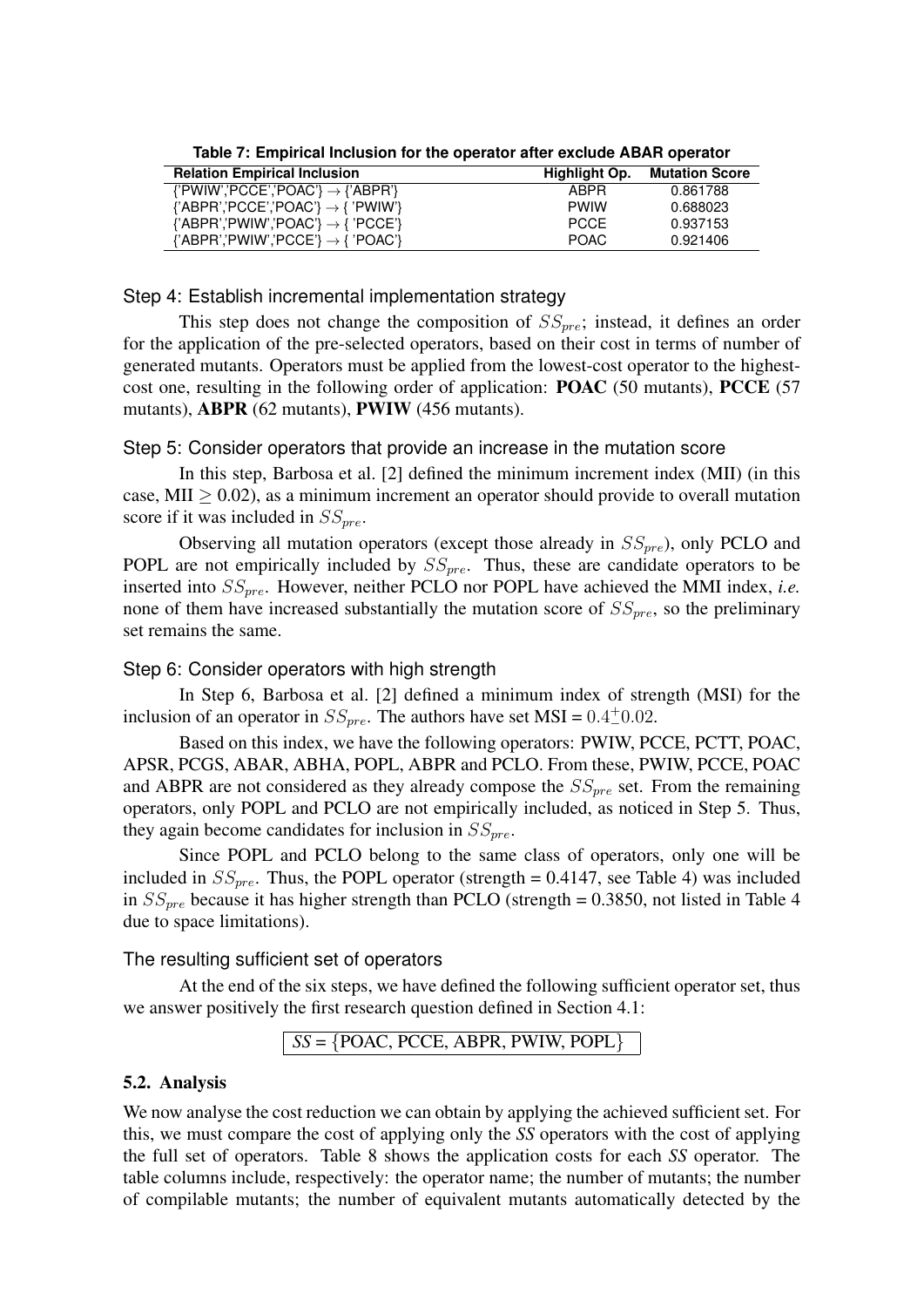| <b>Relation Empirical Inclusion</b>                         | Highlight Op. | <b>Mutation Score</b> |
|-------------------------------------------------------------|---------------|-----------------------|
| $\{$ PWIW', PCCE', POAC'} $\rightarrow$ $\{$ ABPR'}         | <b>ARPR</b>   | 0.861788              |
| $\{^{\prime}ABPR$ ','PCCE','POAC'} $\rightarrow$ { 'PWIW'}  | <b>PWIW</b>   | 0.688023              |
| $\{ABPR'\}$ PWIW', POAC' $\} \rightarrow \{PCCE'\}$         | <b>PCCF</b>   | 0.937153              |
| ${POR$ $\rightarrow$ ${PNNW}$ $PCCE$ $\rightarrow$ ${POAC}$ | POAC.         | 0.921406              |

**Table 7: Empirical Inclusion for the operator after exclude ABAR operator**

Step 4: Establish incremental implementation strategy

This step does not change the composition of  $SS_{pre}$ ; instead, it defines an order for the application of the pre-selected operators, based on their cost in terms of number of generated mutants. Operators must be applied from the lowest-cost operator to the highestcost one, resulting in the following order of application: **POAC** (50 mutants), **PCCE** (57 mutants), ABPR (62 mutants), PWIW (456 mutants).

#### Step 5: Consider operators that provide an increase in the mutation score

In this step, Barbosa et al. [2] defined the minimum increment index (MII) (in this case, MII  $> 0.02$ ), as a minimum increment an operator should provide to overall mutation score if it was included in  $SS_{pre}$ .

Observing all mutation operators (except those already in  $SS_{pre}$ ), only PCLO and POPL are not empirically included by  $SS_{pre}$ . Thus, these are candidate operators to be inserted into  $SS_{pre}$ . However, neither PCLO nor POPL have achieved the MMI index, *i.e.* none of them have increased substantially the mutation score of  $SS_{pre}$ , so the preliminary set remains the same.

## Step 6: Consider operators with high strength

In Step 6, Barbosa et al. [2] defined a minimum index of strength (MSI) for the inclusion of an operator in  $SS_{pre}$ . The authors have set MSI =  $0.4\pm0.02$ .

Based on this index, we have the following operators: PWIW, PCCE, PCTT, POAC, APSR, PCGS, ABAR, ABHA, POPL, ABPR and PCLO. From these, PWIW, PCCE, POAC and ABPR are not considered as they already compose the  $SS_{pre}$  set. From the remaining operators, only POPL and PCLO are not empirically included, as noticed in Step 5. Thus, they again become candidates for inclusion in  $SS_{pre}$ .

Since POPL and PCLO belong to the same class of operators, only one will be included in  $SS_{pre}$ . Thus, the POPL operator (strength = 0.4147, see Table 4) was included in  $SS_{pre}$  because it has higher strength than PCLO (strength = 0.3850, not listed in Table 4 due to space limitations).

The resulting sufficient set of operators

At the end of the six steps, we have defined the following sufficient operator set, thus we answer positively the first research question defined in Section 4.1:

 $SS = \{POAC, PCCE, ABPR, PWIW, POPL\}$ 

#### 5.2. Analysis

We now analyse the cost reduction we can obtain by applying the achieved sufficient set. For this, we must compare the cost of applying only the *SS* operators with the cost of applying the full set of operators. Table 8 shows the application costs for each *SS* operator. The table columns include, respectively: the operator name; the number of mutants; the number of compilable mutants; the number of equivalent mutants automatically detected by the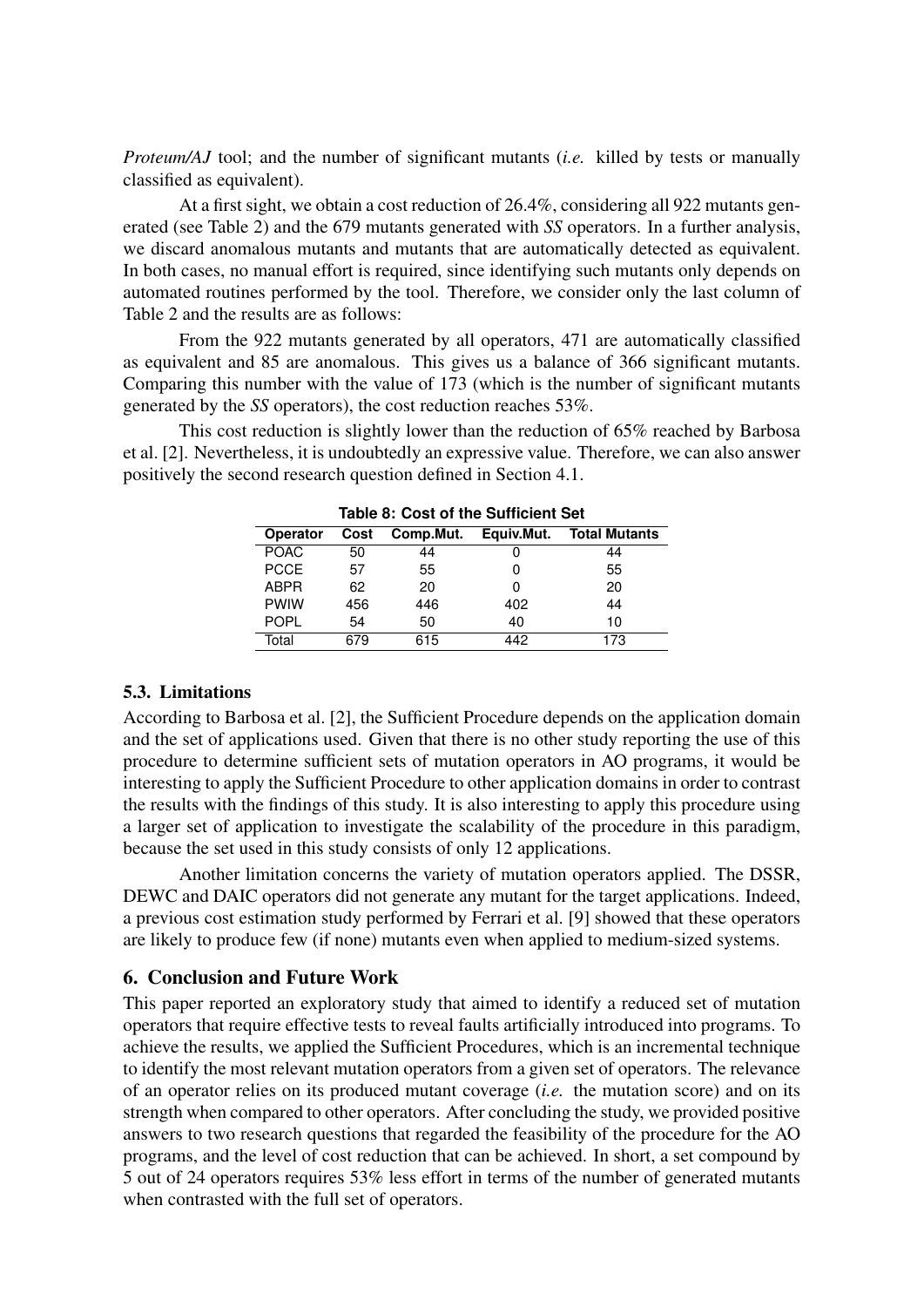*Proteum/AJ* tool; and the number of significant mutants (*i.e.* killed by tests or manually classified as equivalent).

At a first sight, we obtain a cost reduction of 26.4%, considering all 922 mutants generated (see Table 2) and the 679 mutants generated with *SS* operators. In a further analysis, we discard anomalous mutants and mutants that are automatically detected as equivalent. In both cases, no manual effort is required, since identifying such mutants only depends on automated routines performed by the tool. Therefore, we consider only the last column of Table 2 and the results are as follows:

From the 922 mutants generated by all operators, 471 are automatically classified as equivalent and 85 are anomalous. This gives us a balance of 366 significant mutants. Comparing this number with the value of 173 (which is the number of significant mutants generated by the *SS* operators), the cost reduction reaches 53%.

This cost reduction is slightly lower than the reduction of 65% reached by Barbosa et al. [2]. Nevertheless, it is undoubtedly an expressive value. Therefore, we can also answer positively the second research question defined in Section 4.1.

| ועטוס טו טטטנ טו גווט טעווווטוטווג טטנ |      |           |            |                      |  |  |
|----------------------------------------|------|-----------|------------|----------------------|--|--|
| <b>Operator</b>                        | Cost | Comp.Mut. | Equiv.Mut. | <b>Total Mutants</b> |  |  |
| <b>POAC</b>                            | 50   | 44        |            | 44                   |  |  |
| <b>PCCE</b>                            | 57   | 55        |            | 55                   |  |  |
| <b>ABPR</b>                            | 62   | 20        |            | 20                   |  |  |
| <b>PWIW</b>                            | 456  | 446       | 402        | 44                   |  |  |
| <b>POPL</b>                            | 54   | 50        | 40         | 10                   |  |  |
| Total                                  | 679  | 615       | 442        | 173                  |  |  |

**Table 8: Cost of the Sufficient Set**

#### 5.3. Limitations

According to Barbosa et al. [2], the Sufficient Procedure depends on the application domain and the set of applications used. Given that there is no other study reporting the use of this procedure to determine sufficient sets of mutation operators in AO programs, it would be interesting to apply the Sufficient Procedure to other application domains in order to contrast the results with the findings of this study. It is also interesting to apply this procedure using a larger set of application to investigate the scalability of the procedure in this paradigm, because the set used in this study consists of only 12 applications.

Another limitation concerns the variety of mutation operators applied. The DSSR, DEWC and DAIC operators did not generate any mutant for the target applications. Indeed, a previous cost estimation study performed by Ferrari et al. [9] showed that these operators are likely to produce few (if none) mutants even when applied to medium-sized systems.

## 6. Conclusion and Future Work

This paper reported an exploratory study that aimed to identify a reduced set of mutation operators that require effective tests to reveal faults artificially introduced into programs. To achieve the results, we applied the Sufficient Procedures, which is an incremental technique to identify the most relevant mutation operators from a given set of operators. The relevance of an operator relies on its produced mutant coverage (*i.e.* the mutation score) and on its strength when compared to other operators. After concluding the study, we provided positive answers to two research questions that regarded the feasibility of the procedure for the AO programs, and the level of cost reduction that can be achieved. In short, a set compound by 5 out of 24 operators requires 53% less effort in terms of the number of generated mutants when contrasted with the full set of operators.